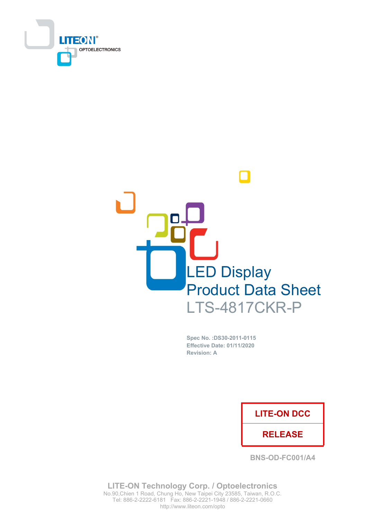



Spec No. : DS30-2011-0115 **Effective Date: 01/11/2020 Revision: A** 

### **LITE-ON DCC**

### **RELEASE**

**BNS-OD-FC001/A4** 

**LITE-ON Technology Corp. / Optoelectronics** No.90, Chien 1 Road, Chung Ho, New Taipei City 23585, Taiwan, R.O.C. Tel: 886-2-2222-6181 Fax: 886-2-2221-1948 / 886-2-2221-0660 http://www.liteon.com/opto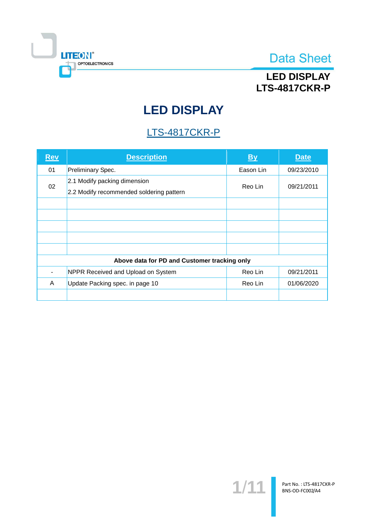

## **LED DISPLAY LTS-4817CKR-P**

# **LED DISPLAY**

## LTS-4817CKR-P

| <u>Rev</u>                                   | <b>Description</b>                                                       | By        | <b>Date</b> |  |  |
|----------------------------------------------|--------------------------------------------------------------------------|-----------|-------------|--|--|
| 01                                           | Preliminary Spec.                                                        | Eason Lin | 09/23/2010  |  |  |
| 02                                           | 2.1 Modify packing dimension<br>2.2 Modify recommended soldering pattern | Reo Lin   | 09/21/2011  |  |  |
|                                              |                                                                          |           |             |  |  |
|                                              |                                                                          |           |             |  |  |
|                                              |                                                                          |           |             |  |  |
|                                              |                                                                          |           |             |  |  |
|                                              |                                                                          |           |             |  |  |
| Above data for PD and Customer tracking only |                                                                          |           |             |  |  |
|                                              | NPPR Received and Upload on System                                       | Reo Lin   | 09/21/2011  |  |  |
| A                                            | Update Packing spec. in page 10                                          | Reo Lin   | 01/06/2020  |  |  |
|                                              |                                                                          |           |             |  |  |

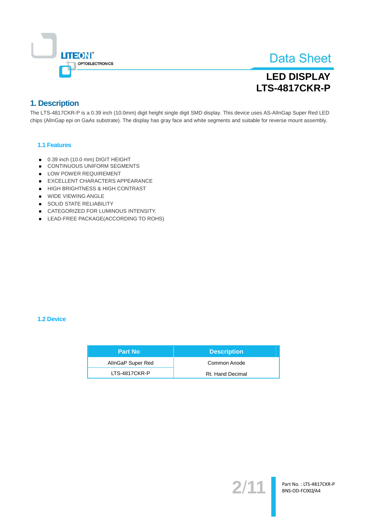

## **LED DISPLAY LTS-4817CKR-P**

### 1. Description

The LTS-4817CKR-P is a 0.39 inch (10.0mm) digit height single digit SMD display. This device uses AS-AllnGap Super Red LED chips (AllnGap epi on GaAs substrate). The display has gray face and white segments and suitable for reverse mount assembly.

#### 1.1 Features

- 0.39 inch (10.0 mm) DIGIT HEIGHT
- CONTINUOUS UNIFORM SEGMENTS
- LOW POWER REQUIREMENT
- EXCELLENT CHARACTERS APPEARANCE
- HIGH BRIGHTNESS & HIGH CONTRAST
- WIDE VIEWING ANGLE
- SOLID STATE RELIABILITY
- CATEGORIZED FOR LUMINOUS INTENSITY.
- LEAD-FREE PACKAGE(ACCORDING TO ROHS)

#### 1.2 Device

| <b>Part No</b>    | <b>Description</b> |
|-------------------|--------------------|
| AllnGaP Super Red | Common Anode       |
| LTS-4817CKR-P     | Rt. Hand Decimal   |

 $2/$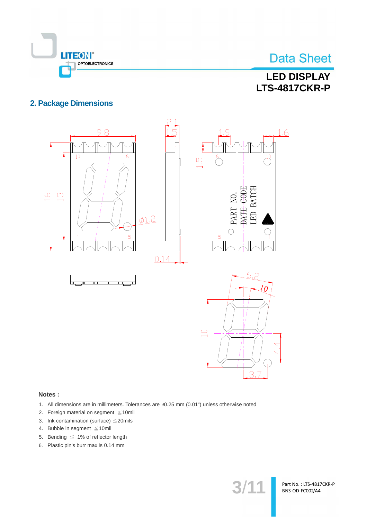

## **LED DISPLAY LTS-4817CKR-P**

### **2. Package Dimensions**



#### Notes:

- 1. All dimensions are in millimeters. Tolerances are ±0.25 mm (0.01") unless otherwise noted
- 2. Foreign material on segment ≤10mil
- 3. Ink contamination (surface)  $\leq$  20mils
- 4. Bubble in segment  $\leq 10$ mil
- 5. Bending  $\leq 1\%$  of reflector length
- 6. Plastic pin's burr max is 0.14 mm

 $3/1$ <sup>.</sup>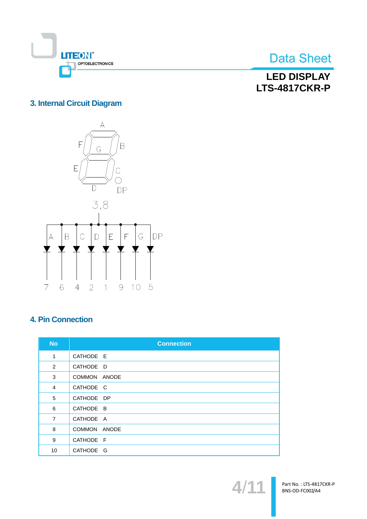

**LED DISPLAY LTS-4817CKR-P** 

### 3. Internal Circuit Diagram



### **4. Pin Connection**

| <b>No</b>      | <b>Connection</b> |
|----------------|-------------------|
| 1              | CATHODE E         |
| 2              | CATHODE D         |
| 3              | COMMON ANODE      |
| 4              | CATHODE C         |
| 5              | CATHODE DP        |
| 6              | CATHODE B         |
| $\overline{7}$ | CATHODE A         |
| 8              | COMMON ANODE      |
| 9              | CATHODE F         |
| 10             | CATHODE G         |

 $\blacktriangle$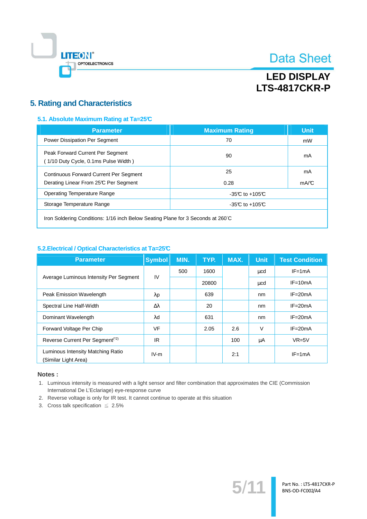

## **LED DISPLAY LTS-4817CKR-P**

### **5. Rating and Characteristics**

#### 5.1. Absolute Maximum Rating at Ta=25°C

| <b>Parameter</b>                                                                       | <b>Maximum Rating</b> | <b>Unit</b> |  |
|----------------------------------------------------------------------------------------|-----------------------|-------------|--|
| Power Dissipation Per Segment                                                          | 70                    | mW          |  |
| Peak Forward Current Per Segment<br>(1/10 Duty Cycle, 0.1ms Pulse Width)               | 90                    | mA          |  |
| <b>Continuous Forward Current Per Segment</b><br>Derating Linear From 25°C Per Segment | 25<br>0.28            | mA<br>mA/C  |  |
| Operating Temperature Range                                                            | $-35C$ to $+105C$     |             |  |
| Storage Temperature Range                                                              | $-35C$ to $+105C$     |             |  |
|                                                                                        |                       |             |  |

Iron Soldering Conditions: 1/16 inch Below Seating Plane for 3 Seconds at 260°C

#### 5.2. Electrical / Optical Characteristics at Ta=25°C

| <b>Parameter</b>                                          | <b>Symbol</b>    | MIN. | TYP.  | MAX. | <b>Unit</b> | <b>Test Condition</b> |
|-----------------------------------------------------------|------------------|------|-------|------|-------------|-----------------------|
|                                                           | IV               | 500  | 1600  |      | μcd         | $IF = 1mA$            |
| Average Luminous Intensity Per Segment                    |                  |      | 20800 |      | μcd         | $IF = 10mA$           |
| Peak Emission Wavelength                                  | $\lambda$ p      |      | 639   |      | nm          | $IF = 20mA$           |
| Spectral Line Half-Width                                  | $\Delta \lambda$ |      | 20    |      | nm          | $IF = 20mA$           |
| Dominant Wavelength                                       | $\lambda$ d      |      | 631   |      | nm          | $IF = 20mA$           |
| Forward Voltage Per Chip                                  | <b>VF</b>        |      | 2.05  | 2.6  | $\vee$      | $IF = 20mA$           |
| Reverse Current Per Segment <sup>(*2)</sup>               | IR.              |      |       | 100  | μA          | $VR=5V$               |
| Luminous Intensity Matching Ratio<br>(Similar Light Area) | $IV-m$           |      |       | 2:1  |             | $IF = 1mA$            |

#### Notes:

1. Luminous intensity is measured with a light sensor and filter combination that approximates the CIE (Commission International De L'Eclariage) eye-response curve

 $5/$ 

- 2. Reverse voltage is only for IR test. It cannot continue to operate at this situation
- 3. Cross talk specification  $\leq 2.5\%$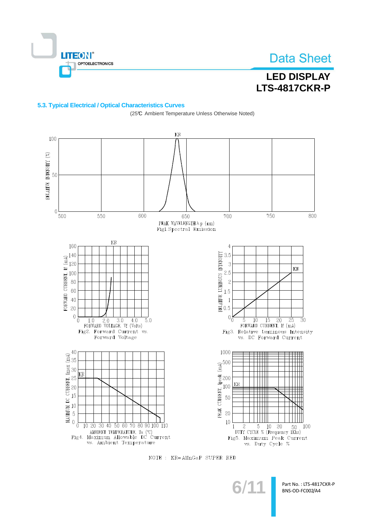

RELATIVE INTENSITY (%)

## **Data Sheet**

## **LED DISPLAY LTS-4817CKR-P**

#### 5.3. Typical Electrical / Optical Characteristics Curves

 $\rm KR$ 100 50  $\overline{0}$ 600 500 550 750 800 650 700 PEAK WAVELENGTH  $\lambda$  p (nm) Fig1.<br>Spectral Emission  $KR$ 160  $\overline{4}$ RELATIVE LUMINOUS INTENSITY<br>  $\frac{1}{2}$ <br>  $\frac{1}{2}$ <br>  $\frac{1}{2}$ <br>  $\frac{1}{2}$ <br>  $\frac{1}{2}$ <br>  $\frac{1}{2}$ <br>  $\frac{1}{2}$ <br>  $\frac{1}{2}$ <br>  $\frac{1}{2}$ <br>  $\frac{1}{2}$ <br>  $\frac{1}{2}$ <br>  $\frac{1}{2}$ <br>  $\frac{1}{2}$  $3.5$  $\frac{1}{2}$  =  $\frac{1}{2}$  =  $\frac{1}{2}$  =  $\frac{1}{2}$  =  $\frac{1}{2}$  =  $\frac{1}{2}$  =  $\frac{1}{2}$  =  $\frac{1}{2}$  =  $\frac{1}{2}$  =  $\frac{1}{2}$  =  $\frac{1}{2}$  =  $\frac{1}{2}$  =  $\frac{1}{2}$  =  $\frac{1}{2}$  =  $\frac{1}{2}$  =  $\frac{1}{2}$  =  $\frac{1}{2}$  =  $\frac{1}{2}$  =  $\frac{1$  $\mathbf{3}$  $KR$  $2.5$  $\overline{c}$  $0\overline{0}$  $0_0^{\,\,\rm k}$  $1.0$   $2.0$   $3.0$   $4.0$ <br>FORWARD VOLTAGE, Vf (Volts)  $\overline{5.0}$  $\overline{10}$  $\overline{15}$  $\overline{20}$  $\overline{25}$  $\overline{3}0$  $\overline{5}$ FORWARD CURRENT, If (mA) Fig2. Forward Current vs. Fig3. Relative Luminous Intensity Forward Voltage vs. DC Forward Current 1000 40  $\widehat{\widetilde{\mathbf{E}}}^{40}_{35}$ PEAK CURRENT, Ipeak (mA)<br>22 32 30<br>23 30 30 31 42 500 MAXIMUM DC CURRENT, Imax<br>
0<br>
0<br>
0<br>
5<br>
0<br>
5<br>
0<br>
5<br>
0 kr KR 10  $\overline{0}$  $\frac{2}{2}$  5 10 20 50<br>DUTY CYCLE % (Frequency 1Khz) 10 20 30 40 50 60 70 80 90 100 110  $\overline{1}$ 100 MBIENT TEMPERATURE, Ta (°C)<br>Fig4. Maximun Allowable DC Current<br>vs. Ambient Temperature Fig5. Maximum Peak Current vs. Duty Cycle %

(25℃ Ambient Temperature Unless Otherwise Noted)

NOTE : KR=AlInGaP SUPER RED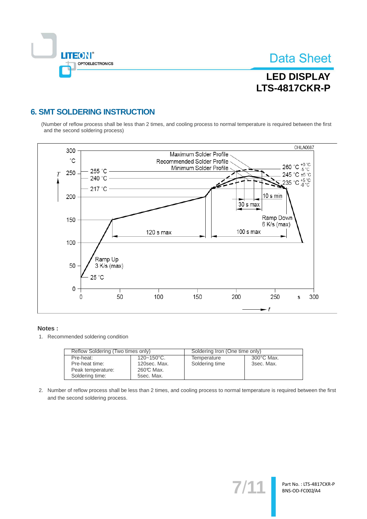

Part No.: LTS-4817CKR-P BNS-OD-FC002/A4

## **LED DISPLAY LTS-4817CKR-P**

### **6. SMT SOLDERING INSTRUCTION**

(Number of reflow process shall be less than 2 times, and cooling process to normal temperature is required between the first and the second soldering process)



#### Notes:

1. Recommended soldering condition

| Reflow Soldering (Two times only) |                 | Soldering Iron (One time only) |                      |  |
|-----------------------------------|-----------------|--------------------------------|----------------------|--|
|                                   |                 |                                |                      |  |
| Pre-heat:                         | $120 - 150$ °C. | Temperature                    | $300^{\circ}$ C Max. |  |
| Pre-heat time:                    | 120sec. Max.    | Soldering time                 | 3sec. Max.           |  |
| Peak temperature:                 | 260℃ Max.       |                                |                      |  |
| Soldering time:                   | 5sec. Max.      |                                |                      |  |

2. Number of reflow process shall be less than 2 times, and cooling process to normal temperature is required between the first and the second soldering process.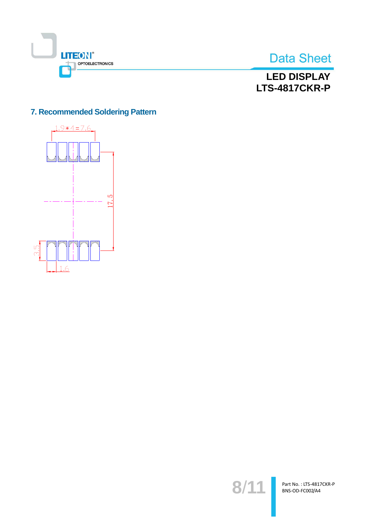



## **LED DISPLAY LTS-4817CKR-P**

### 7. Recommended Soldering Pattern



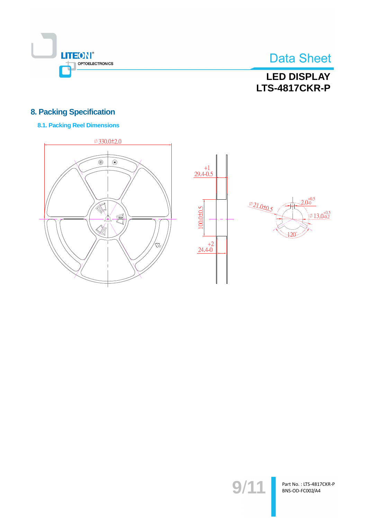

## **LED DISPLAY LTS-4817CKR-P**

### **8. Packing Specification**

### **8.1. Packing Reel Dimensions**







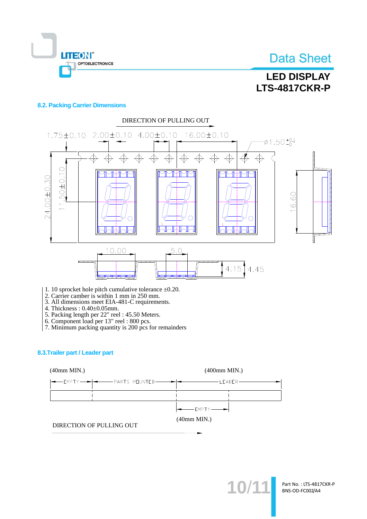

## **LED DISPLAY LTS-4817CKR-P**

#### **8.2. Packing Carrier Dimensions**



- 1. 10 sprocket hole pitch cumulative tolerance  $\pm 0.20$ .
- 2. Carrier camber is within 1 mm in 250 mm.<br>3. All dimensions meet EIA-481-C requirements.
- 
- 
- 
- 
- 4. Thickness :  $0.40\pm0.05$ mm.<br>
5. Packing length per 22" reel : 45.50 Meters.<br>
6. Component load per 13" reel : 800 pcs.<br>
7. Minimum packing quantity is 200 pcs for remainders

#### 8.3. Trailer part / Leader part



10